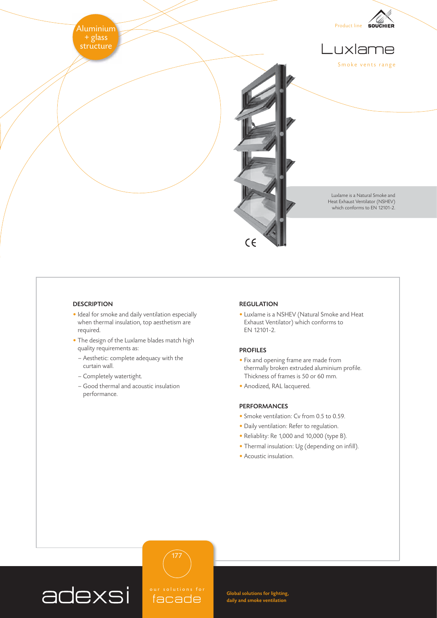

## **DESCRIPTION**

- Ideal for smoke and daily ventilation especially when thermal insulation, top aesthetism are required.
- The design of the Luxlame blades match high quality requirements as:
	- Aesthetic: complete adequacy with the curtain wall.
	- Completely watertight.
- Good thermal and acoustic insulation performance.

## REGULATION

• Luxlame is a NSHEV (Natural Smoke and Heat Exhaust Ventilator) which conforms to EN 12101-2.

## PROFILES

- Fix and opening frame are made from thermally broken extruded aluminium profile. Thickness of frames is 50 or 60 mm.
- Anodized, RAL lacquered.

## PERFORMANCES

- Smoke ventilation: Cv from 0.5 to 0.59.
- Daily ventilation: Refer to regulation.
- Reliablity: Re 1,000 and 10,000 (type B).
- Thermal insulation: Ug (depending on infill).
- Acoustic insulation.



facade

177

Global solutions for lighting, daily and smoke ventilation